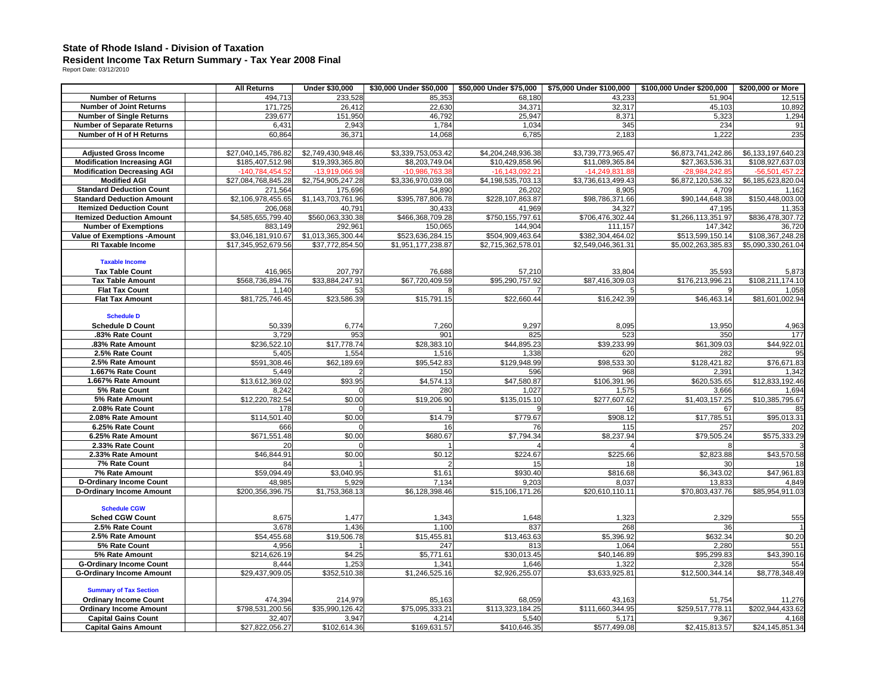## **State of Rhode Island - Division of Taxation Resident Income Tax Return Summary - Tax Year 2008 Final**  Report Date: 03/12/2010

|                                               | <b>All Returns</b>       | <b>Under \$30,000</b> | \$30,000 Under \$50,000 | \$50,000 Under \$75,000 | \$75,000 Under \$100,000 | \$100,000 Under \$200,000 | \$200,000 or More     |
|-----------------------------------------------|--------------------------|-----------------------|-------------------------|-------------------------|--------------------------|---------------------------|-----------------------|
| <b>Number of Returns</b>                      | 494,713                  | 233,528               | 85,353                  | 68,180                  | 43,233                   | 51,904                    | 12,515                |
| <b>Number of Joint Returns</b>                | 171,725                  | 26,412                | 22,630                  | 34,371                  | 32,317                   | 45,103                    | 10,892                |
| <b>Number of Single Returns</b>               | 239,677                  | 151,950               | 46,792                  | 25,947                  | 8,371                    | 5,323                     | 1,294                 |
| <b>Number of Separate Returns</b>             | 6,431                    | 2,943                 | 1,784                   | 1,034                   | 345                      | 234                       | 91                    |
| Number of H of H Returns                      | 60,864                   | 36,371                | 14,068                  | 6,785                   | 2,183                    | 1,222                     | 235                   |
|                                               |                          |                       |                         |                         |                          |                           |                       |
| <b>Adjusted Gross Income</b>                  | \$27,040,145,786.82      | \$2,749,430,948.46    | \$3,339,753,053.42      | \$4,204,248,936.38      | \$3,739,773,965.47       | \$6,873,741,242.86        | \$6,133,197,640.23    |
| <b>Modification Increasing AGI</b>            | \$185,407,512.98         | \$19,393,365.80       | \$8,203,749.04          | \$10,429,858.96         | \$11,089,365.84          | \$27,363,536.31           | \$108,927,637.03      |
| <b>Modification Decreasing AGI</b>            | -140,784,454.5           | -13,919,066.9         | -10,986,763.3           | $-16, 143, 092.2$       | $-14,249,831.8$          | -28,984,242.8             | $-56.501.457.2$       |
| <b>Modified AGI</b>                           | \$27,084,768,845.28      | \$2,754,905,247.28    | \$3,336,970,039.08      | \$4,198,535,703.13      | \$3,736,613,499.43       | \$6,872,120,536.32        | \$6,185,623,820.04    |
| <b>Standard Deduction Count</b>               | 271,564                  | 175,696               | 54,890                  | 26,202                  | 8,905                    | 4,709                     | 1,162                 |
| <b>Standard Deduction Amount</b>              | \$2,106,978,455.65       | \$1,143,703,761.96    | \$395,787,806.78        | \$228,107,863.87        | \$98,786,371.66          | \$90,144,648.38           | \$150,448,003.00      |
| <b>Itemized Deduction Count</b>               | 206,068                  | 40,791                | 30,433                  | 41,969                  | 34,327                   | 47.195                    | 11,353                |
| <b>Itemized Deduction Amount</b>              | \$4,585,655,799.40       | \$560,063,330.38      | \$466,368,709.28        | \$750,155,797.61        | \$706,476,302.44         | \$1,266,113,351.97        | \$836,478,307.72      |
| <b>Number of Exemptions</b>                   | 883,149                  | 292,961               | 150,065                 | 144,904                 | 111,157                  | 147,342                   | 36,720                |
| <b>Value of Exemptions - Amount</b>           | \$3,046,181,910.67       | \$1,013,365,300.44    | \$523,636,284.15        | \$504,909,463.64        | \$382,304,464.02         | \$513,599,150.14          | \$108,367,248.28      |
| <b>RI Taxable Income</b>                      | \$17,345,952,679.56      | \$37,772,854.50       | \$1,951,177,238.87      | \$2,715,362,578.01      | \$2,549,046,361.31       | \$5,002,263,385.83        | \$5,090,330,261.04    |
|                                               |                          |                       |                         |                         |                          |                           |                       |
| <b>Taxable Income</b>                         |                          |                       |                         |                         |                          |                           |                       |
| <b>Tax Table Count</b>                        | 416,965                  | 207,797               | 76,688                  | 57,210                  | 33,804                   | 35,593                    | 5,873                 |
| <b>Tax Table Amount</b>                       | \$568,736,894.76         | \$33,884,247.91       | \$67,720,409.59         | \$95,290,757.92         | \$87,416,309.03          | \$176,213,996.21          | \$108,211,174.10      |
| <b>Flat Tax Count</b>                         | 1.140                    | 53                    |                         |                         |                          |                           | 1.058                 |
| <b>Flat Tax Amount</b>                        | \$81,725,746.45          | \$23,586.39           | \$15,791.15             | \$22,660.44             | \$16,242.39              | \$46,463.14               | \$81,601,002.94       |
|                                               |                          |                       |                         |                         |                          |                           |                       |
| <b>Schedule D</b>                             |                          |                       |                         |                         |                          |                           |                       |
| <b>Schedule D Count</b>                       | 50,339                   | 6,774                 | 7,260                   | 9,297                   | 8,095                    | 13,950                    | 4,963                 |
| .83% Rate Count                               | 3,729                    | 953                   | 901                     | 825                     | 523                      | 350                       | 177                   |
| .83% Rate Amount                              | \$236,522.10             | \$17,778.74           | \$28,383.10             | \$44,895.23             | \$39,233.99              | \$61,309.03               | \$44,922.01           |
| 2.5% Rate Count                               | 5,405                    | 1,554                 | 1,516                   | 1,338                   | 620                      | 282                       | 95                    |
| 2.5% Rate Amount                              | \$591,308.46             | \$62,189.69           | \$95,542.83             | \$129,948.99            | \$98,533.30              | \$128,421.82              | \$76,671.83           |
| 1.667% Rate Count                             | 5,449                    |                       | 150                     | 596                     | 968                      | 2,391                     | 1,342                 |
| 1.667% Rate Amount                            | \$13,612,369.02          | \$93.95               | \$4,574.13              | \$47,580.87             | \$106,391.96             | \$620,535.65              | \$12,833,192.46       |
| 5% Rate Count                                 | 8,242                    |                       | 280                     | 1,027                   | 1,575                    | 3,666                     | 1,694                 |
| 5% Rate Amount                                | \$12,220,782.54          | \$0.00                | \$19,206.90             | \$135,015.10            | \$277,607.62             | \$1,403,157.25            | \$10,385,795.67       |
| 2.08% Rate Count                              | 178                      |                       |                         |                         | 16                       | 67                        |                       |
| 2.08% Rate Amount                             | \$114,501.40             | \$0.00                | \$14.79                 | \$779.67                | \$908.12                 | \$17,785.51               | \$95,013.31           |
| 6.25% Rate Count                              | 666                      |                       | 16                      | 76                      | 115                      | 257                       | 202                   |
| 6.25% Rate Amount                             | \$671,551.48             | \$0.00                | \$680.67                | \$7,794.34              | \$8,237.94               | \$79,505.24               | \$575,333.29          |
| 2.33% Rate Count                              | 20                       |                       |                         |                         |                          |                           |                       |
| 2.33% Rate Amount                             | \$46,844.91              | \$0.00                | \$0.12                  | \$224.67                | \$225.66                 | \$2,823.88                | \$43,570.58           |
| 7% Rate Count                                 | 84                       |                       |                         | 15                      | 18                       | 30                        | 18                    |
| 7% Rate Amount                                | \$59,094.49              | \$3,040.95            | \$1.61                  | \$930.40                | \$816.68                 | \$6,343.02                | \$47,961.83           |
| <b>D-Ordinary Income Count</b>                | 48,985                   | 5,929                 | 7,134                   | 9,203                   | 8,037                    | 13,833                    | 4,849                 |
| <b>D-Ordinary Income Amount</b>               | \$200,356,396.75         | \$1,753,368.13        | \$6,128,398.46          | \$15,106,171.26         | \$20,610,110.11          | \$70,803,437.76           | \$85,954,911.03       |
|                                               |                          |                       |                         |                         |                          |                           |                       |
| <b>Schedule CGW</b><br><b>Sched CGW Count</b> | 8,675                    |                       |                         |                         |                          | 2,329                     |                       |
|                                               |                          | 1,477                 | 1,343<br>1.100          | 1,648                   | 1,323<br>268             |                           | 555                   |
| 2.5% Rate Count                               | 3,678                    | 1,436<br>\$19,506.78  |                         | 837                     |                          | 36                        |                       |
| 2.5% Rate Amount                              | \$54,455.68              |                       | \$15,455.81             | \$13,463.63             | \$5,396.92               | \$632.34                  | \$0.20                |
| 5% Rate Count<br>5% Rate Amount               | 4,956<br>\$214.626.19    | \$4.25                | 247                     | 813<br>\$30.013.45      | 1,064                    | 2,280                     | 551                   |
| <b>G-Ordinary Income Count</b>                |                          | 1,253                 | \$5,771.61<br>1.341     |                         | \$40,146.89              | \$95,299.83               | \$43,390.16           |
|                                               | 8.444<br>\$29,437,909.05 | \$352.510.38          | \$1,246,525.16          | 1,646<br>\$2.926.255.07 | 1,322<br>\$3,633,925.81  | 2,328<br>\$12,500,344.14  | 554<br>\$8,778,348.49 |
| <b>G-Ordinary Income Amount</b>               |                          |                       |                         |                         |                          |                           |                       |
| <b>Summary of Tax Section</b>                 |                          |                       |                         |                         |                          |                           |                       |
| <b>Ordinary Income Count</b>                  | 474,394                  | 214,979               | 85,163                  | 68,059                  | 43,163                   | 51,754                    | 11,276                |
| <b>Ordinary Income Amount</b>                 | \$798,531,200.56         | \$35,990,126.42       | \$75,095,333.21         | \$113,323,184.25        | \$111,660,344.95         | \$259,517,778.11          | \$202,944,433.62      |
| <b>Capital Gains Count</b>                    | 32,407                   | 3,947                 | 4,214                   | 5,540                   | 5,171                    | 9,367                     | 4,168                 |
| <b>Capital Gains Amount</b>                   | \$27,822,056.27          | \$102,614.36          | \$169,631.57            | \$410,646.35            | \$577,499.08             | \$2,415,813.57            | \$24,145,851.34       |
|                                               |                          |                       |                         |                         |                          |                           |                       |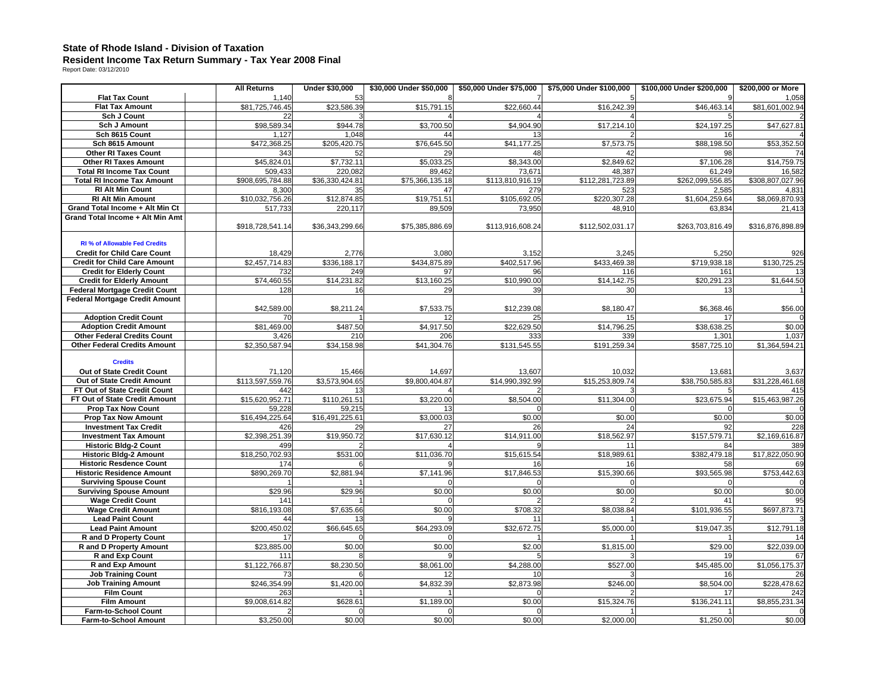## **State of Rhode Island - Division of Taxation Resident Income Tax Return Summary - Tax Year 2008 Final**  Report Date: 03/12/2010

|                                       | <b>All Returns</b> | <b>Under \$30,000</b> | \$30,000 Under \$50,000 | \$50,000 Under \$75,000 | \$75,000 Under \$100,000 | \$100,000 Under \$200,000 | \$200,000 or More |
|---------------------------------------|--------------------|-----------------------|-------------------------|-------------------------|--------------------------|---------------------------|-------------------|
| <b>Flat Tax Count</b>                 | 1,140              | 53                    |                         |                         |                          |                           | 1,058             |
| <b>Flat Tax Amount</b>                | \$81,725,746.45    | \$23,586.39           | \$15,791.15             | \$22,660.44             | \$16,242.39              | \$46,463.14               | \$81,601,002.94   |
| <b>Sch J Count</b>                    | 22                 |                       |                         |                         |                          |                           |                   |
| <b>Sch J Amount</b>                   | \$98,589.34        | \$944.78              | $\overline{$}3,700.50$  | \$4,904.90              | \$17,214.10              | \$24,197.25               | \$47,627.81       |
| Sch 8615 Count                        | 1,127              | 1,048                 | 44                      | 13                      |                          | 16                        |                   |
| Sch 8615 Amount                       | \$472,368.25       | \$205,420.75          | \$76,645.50             | \$41,177.25             | \$7,573.75               | \$88,198.50               | \$53,352.50       |
| <b>Other RI Taxes Count</b>           | 343                | 52                    | 29                      | 48                      | 42                       | 98                        | 74                |
| <b>Other RI Taxes Amount</b>          | \$45,824.01        | \$7,732.11            | \$5,033.25              | \$8,343.00              | \$2,849.62               | \$7,106.28                | \$14,759.75       |
| <b>Total RI Income Tax Count</b>      | 509,433            | 220,082               | 89,462                  | 73,67'                  | 48,387                   | 61,249                    | 16,582            |
| <b>Total RI Income Tax Amount</b>     | \$908,695,784.88   | \$36,330,424.81       | \$75,366,135.18         | \$113,810,916.19        | \$112,281,723.89         | \$262,099,556.85          | \$308,807,027.96  |
| <b>RI Alt Min Count</b>               | 8,300              | 35                    | 47                      | 279                     | 523                      | 2,585                     | 4,831             |
| <b>RI Alt Min Amount</b>              | \$10,032,756.26    | \$12,874.85           | \$19,751.51             | \$105,692.05            | \$220,307.28             | \$1,604,259.64            | \$8,069,870.93    |
| Grand Total Income + Alt Min Ct       | 517,733            | 220,117               | 89,509                  | 73,950                  | 48,910                   | 63,834                    | 21,413            |
| Grand Total Income + Alt Min Amt      |                    |                       |                         |                         |                          |                           |                   |
|                                       | \$918,728,541.14   | \$36,343,299.66       | \$75,385,886.69         | \$113,916,608.24        | \$112,502,031.17         | \$263,703,816.49          | \$316,876,898.89  |
|                                       |                    |                       |                         |                         |                          |                           |                   |
| <b>RI % of Allowable Fed Credits</b>  |                    |                       |                         |                         |                          |                           |                   |
| <b>Credit for Child Care Count</b>    | 18,429             | 2,776                 | 3,080                   | 3,152                   | 3,245                    | 5,250                     | 926               |
| <b>Credit for Child Care Amount</b>   | \$2,457,714.83     | \$336,188.17          | \$434,875.89            | \$402.517.96            | \$433.469.38             | \$719.938.18              | \$130,725.25      |
| <b>Credit for Elderly Count</b>       | 732                | 249                   | 97                      | 96                      | 116                      | 161                       |                   |
| <b>Credit for Elderly Amount</b>      | \$74,460.55        | \$14,231.82           | \$13,160.25             | \$10,990.00             | \$14,142.75              | \$20,291.23               | \$1,644.50        |
| <b>Federal Mortgage Credit Count</b>  | 128                | 16                    | 29                      | 39                      | 30                       | 13                        |                   |
| <b>Federal Mortgage Credit Amount</b> |                    |                       |                         |                         |                          |                           |                   |
|                                       | \$42,589.00        | \$8,211.24            | \$7,533.75              | \$12,239.08             | \$8,180.47               | \$6,368.46                | \$56.00           |
| <b>Adoption Credit Count</b>          | 70                 |                       | 12                      |                         | 15                       | 17                        |                   |
| <b>Adoption Credit Amount</b>         | \$81.469.00        | \$487.50              | \$4.917.50              | \$22,629.50             | \$14,796.25              | \$38,638.25               | \$0.00            |
| <b>Other Federal Credits Count</b>    | 3,426              | 210                   | 206                     | 333                     | 339                      | 1,301                     | 1,037             |
| <b>Other Federal Credits Amount</b>   | \$2,350,587.94     | \$34,158.98           | \$41,304.76             | \$131,545.55            | \$191,259.34             | \$587,725.10              | \$1,364,594.21    |
|                                       |                    |                       |                         |                         |                          |                           |                   |
| <b>Credits</b>                        |                    |                       |                         |                         |                          |                           |                   |
| Out of State Credit Count             | 71,120             | 15,466                | 14,697                  | 13,607                  | 10,032                   | 13,681                    | 3,637             |
| Out of State Credit Amount            | \$113,597,559.76   | \$3,573,904.65        | \$9,800,404.87          | \$14,990,392.99         | \$15,253,809.74          | \$38,750,585.83           | \$31,228,461.68   |
| FT Out of State Credit Count          | 442                | 13                    |                         |                         |                          |                           | 415               |
| FT Out of State Credit Amount         | \$15,620,952.71    | \$110,261.51          | \$3,220.00              | \$8,504.00              | \$11,304.00              | \$23,675.94               | \$15,463,987.26   |
| <b>Prop Tax Now Count</b>             | 59,228             | 59,215                | 13                      |                         |                          |                           |                   |
| <b>Prop Tax Now Amount</b>            | \$16,494,225.64    | \$16,491,225.61       | \$3,000.03              | \$0.00                  | \$0.00                   | \$0.00                    | \$0.00            |
| <b>Investment Tax Credit</b>          | 426                | 29                    | 27                      | 26                      | 24                       | 92                        | 228               |
| <b>Investment Tax Amount</b>          | \$2,398,251.39     | \$19,950.72           | \$17,630.12             | \$14,911.00             | \$18,562.97              | \$157,579.71              | \$2,169,616.87    |
| <b>Historic Bldg-2 Count</b>          | 499                |                       |                         |                         | 11                       | 84                        | 389               |
| <b>Historic Bldg-2 Amount</b>         | \$18,250,702.93    | \$531.00              | \$11,036.70             | \$15,615.54             | \$18,989.61              | \$382,479.18              | \$17,822,050.90   |
| <b>Historic Resdence Count</b>        | 174                |                       |                         | 16                      | 16                       | 58                        | 69                |
| <b>Historic Residence Amount</b>      | \$890,269.70       | \$2,881.94            | \$7,141.96              | \$17,846.53             | \$15,390.66              | \$93,565.98               | \$753,442.63      |
| <b>Surviving Spouse Count</b>         |                    |                       |                         |                         |                          |                           |                   |
| <b>Surviving Spouse Amount</b>        | \$29.96            | \$29.96               | \$0.00                  | \$0.00                  | \$0.00                   | \$0.00                    | \$0.00            |
| <b>Wage Credit Count</b>              | 141                |                       | O                       |                         |                          | 41                        | 95                |
| <b>Wage Credit Amount</b>             | \$816,193.08       | \$7,635.66            | \$0.00                  | \$708.32                | \$8,038.84               | \$101,936.55              | \$697,873.71      |
| <b>Lead Paint Count</b>               | 44                 |                       |                         | 11                      |                          |                           |                   |
| <b>Lead Paint Amount</b>              | \$200,450.02       | \$66,645.65           | \$64,293.09             | \$32,672.75             | \$5,000.00               | \$19,047.35               | \$12,791.18       |
| <b>R</b> and D Property Count         | 17                 |                       | $\Omega$                |                         |                          |                           | 14                |
| R and D Property Amount               | \$23,885.00        | \$0.00                | \$0.00                  | \$2.00                  | \$1,815.00               | \$29.00                   | \$22,039.00       |
| R and Exp Count                       | 111                |                       |                         |                         |                          | 19                        | 67                |
| <b>R</b> and Exp Amount               | \$1,122,766.87     | \$8,230.50            | \$8,061.00              | \$4,288.00              | \$527.00                 | \$45,485.00               | \$1,056,175.37    |
| <b>Job Training Count</b>             | 73                 |                       | 12                      | 10                      |                          | 16                        | 26                |
| <b>Job Training Amount</b>            | \$246.354.99       | \$1,420.00            | \$4,832.39              | \$2,873.98              | \$246.00                 | \$8,504.00                | \$228,478.62      |
| <b>Film Count</b>                     | 263                |                       |                         |                         |                          | 17                        | 242               |
| <b>Film Amount</b>                    | \$9,008,614.82     | \$628.61              | \$1,189.00              | \$0.00                  | \$15,324.76              | \$136,241.11              | \$8,855,231.34    |
| Farm-to-School Count                  |                    |                       |                         |                         |                          |                           |                   |
| <b>Farm-to-School Amount</b>          | \$3,250.00         | \$0.00                | \$0.00                  | \$0.00                  | \$2,000.00               | \$1,250.00                | \$0.00            |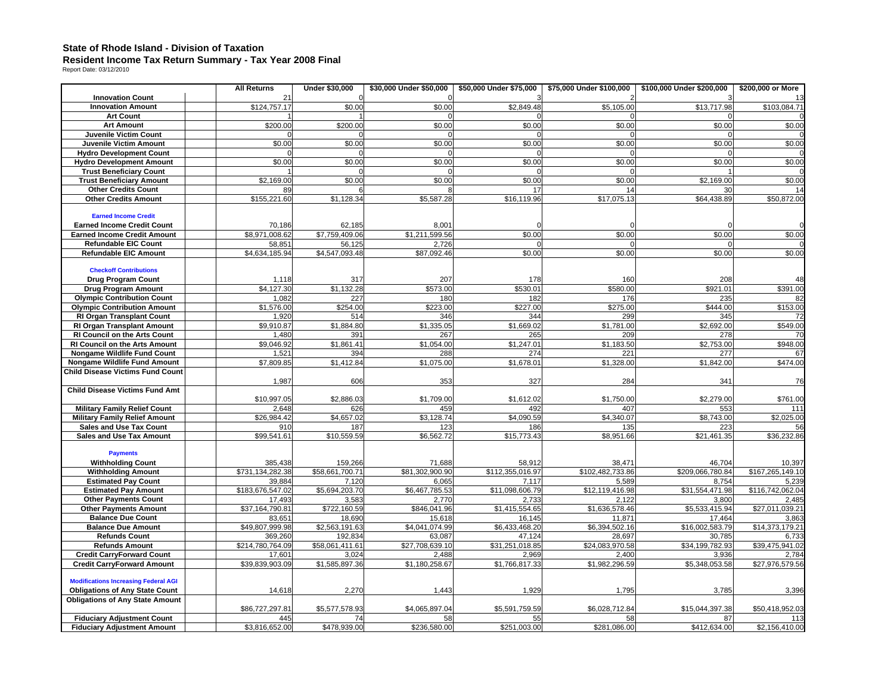#### **State of Rhode Island - Division of Taxation**

# **Resident Income Tax Return Summary - Tax Year 2008 Final**  Report Date: 03/12/2010

|                                                             | <b>All Returns</b>         | <b>Under \$30,000</b>   | \$30,000 Under \$50,000 | \$50,000 Under \$75,000  | \$75,000 Under \$100,000 | \$100,000 Under \$200,000 | \$200,000 or More         |
|-------------------------------------------------------------|----------------------------|-------------------------|-------------------------|--------------------------|--------------------------|---------------------------|---------------------------|
| <b>Innovation Count</b>                                     | 2 <sub>1</sub>             |                         |                         |                          |                          |                           |                           |
| <b>Innovation Amount</b>                                    | \$124,757.17               | \$0.00                  | \$0.00                  | \$2,849.48               | \$5,105.00               | \$13,717.98               | \$103,084.71              |
| <b>Art Count</b>                                            |                            |                         |                         |                          |                          | n                         |                           |
| <b>Art Amount</b>                                           | \$200.00                   | \$200.00                | \$0.00                  | \$0.00                   | \$0.00                   | \$0.00                    | \$0.00                    |
| Juvenile Victim Count                                       |                            |                         |                         |                          |                          |                           |                           |
| <b>Juvenile Victim Amount</b>                               | \$0.00                     | \$0.00                  | \$0.00                  | \$0.00                   | \$0.00                   | \$0.00                    | \$0.00                    |
| <b>Hydro Development Count</b>                              |                            |                         |                         |                          |                          |                           |                           |
| <b>Hydro Development Amount</b>                             | \$0.00                     | \$0.00                  | \$0.00                  | \$0.00                   | \$0.00                   | \$0.00                    | \$0.00                    |
| <b>Trust Beneficiary Count</b>                              |                            |                         |                         |                          |                          |                           |                           |
| <b>Trust Beneficiary Amount</b>                             | \$2,169.00                 | \$0.00                  | \$0.00                  | \$0.00                   | \$0.00                   | \$2,169.00                | \$0.00                    |
| <b>Other Credits Count</b>                                  | 89                         |                         |                         | 17                       | 14                       | 30                        | 14                        |
| <b>Other Credits Amount</b>                                 | \$155,221.60               | \$1,128.34              | \$5,587.28              | \$16,119.96              | \$17,075.13              | \$64,438.89               | \$50,872.00               |
|                                                             |                            |                         |                         |                          |                          |                           |                           |
| <b>Earned Income Credit</b>                                 |                            |                         |                         |                          |                          |                           |                           |
| <b>Earned Income Credit Count</b>                           | 70,186<br>\$8.971.008.62   | 62,185                  | 8,001<br>\$1,211,599.56 |                          |                          |                           |                           |
| <b>Earned Income Credit Amount</b>                          |                            | \$7,759,409.06          | 2,726                   | \$0.00                   | \$0.00                   | \$0.00                    | \$0.00                    |
| <b>Refundable EIC Count</b><br><b>Refundable EIC Amount</b> | 58,85<br>\$4,634,185.94    | 56,125                  |                         | \$0.00                   | \$0.00                   | \$0.00                    | \$0.00                    |
|                                                             |                            | \$4,547,093.48          | \$87,092.46             |                          |                          |                           |                           |
| <b>Checkoff Contributions</b>                               |                            |                         |                         |                          |                          |                           |                           |
| <b>Drug Program Count</b>                                   | 1,118                      | 317                     | 207                     | 178                      | 160                      | 208                       | 48                        |
| <b>Drug Program Amount</b>                                  | \$4,127.30                 | \$1,132.28              | \$573.00                | \$530.01                 | \$580.00                 | \$921.01                  | \$391.00                  |
| <b>Olympic Contribution Count</b>                           | 1,082                      | 227                     | 180                     | 182                      | 176                      | 235                       | 82                        |
| <b>Olympic Contribution Amount</b>                          | \$1,576.00                 | \$254.00                | \$223.00                | \$227.00                 | \$275.00                 | \$444.00                  | \$153.00                  |
| <b>RI Organ Transplant Count</b>                            | 1,920                      | 514                     | 346                     | 344                      | 299                      | 345                       | 72                        |
| <b>RI Organ Transplant Amount</b>                           | \$9,910.87                 | \$1,884.80              | \$1,335.05              | \$1,669.02               | \$1,781.00               | \$2,692.00                | \$549.00                  |
| <b>RI Council on the Arts Count</b>                         | 1,480                      | 391                     | 267                     | 265                      | 209                      | 278                       | 70                        |
| RI Council on the Arts Amount                               | \$9,046.92                 | \$1,861.41              | \$1,054.00              | \$1,247.01               | \$1,183.50               | \$2,753.00                | \$948.00                  |
| Nongame Wildlife Fund Count                                 | 1,521                      | 394                     | 288                     | 274                      | 221                      | 277                       | 67                        |
| <b>Nongame Wildlife Fund Amount</b>                         | \$7,809.85                 | \$1,412.84              | \$1,075.00              | \$1,678.01               | \$1,328.00               | \$1,842.00                | \$474.00                  |
| <b>Child Disease Victims Fund Count</b>                     |                            |                         |                         |                          |                          |                           |                           |
|                                                             | 1,987                      | 606                     | 353                     | 327                      | 284                      | 341                       | 76                        |
| <b>Child Disease Victims Fund Amt</b>                       |                            |                         |                         |                          |                          |                           |                           |
|                                                             | \$10,997.05                | \$2,886.03              | \$1,709.00              | \$1,612.02               | \$1,750.00               | \$2,279.00                | \$761.00                  |
| <b>Military Family Relief Count</b>                         | 2,648                      | 626                     | 459                     | 492                      | 407                      | 553                       | 111                       |
| <b>Military Family Relief Amount</b>                        | \$26.984.42                | \$4,657.02              | \$3,128.74              | $\overline{\$4,090.59}$  | \$4,340.07               | \$8,743.00                | \$2.025.00                |
| <b>Sales and Use Tax Count</b>                              | 910                        | 187                     | 123                     | 186                      | 135                      | 223                       | 56                        |
| <b>Sales and Use Tax Amount</b>                             | \$99,541.61                | $$10,559.\overline{59}$ | \$6,562.72              | \$15,773.43              | \$8,951.66               | \$21,461.35               | \$36,232.86               |
|                                                             |                            |                         |                         |                          |                          |                           |                           |
| <b>Payments</b>                                             |                            |                         |                         |                          |                          |                           |                           |
| <b>Withholding Count</b>                                    | 385,438                    | 159,266                 | 71,688                  | 58,912                   | 38,471                   | 46,704                    | 10,397                    |
| <b>Withholding Amount</b>                                   | \$731,134,282.38           | \$58,661,700.71         | \$81,302,900.90         | \$112,355,016.97         | \$102,482,733.86         | \$209,066,780.84          | \$167,265,149.10          |
| <b>Estimated Pay Count</b><br><b>Estimated Pay Amount</b>   | 39.884<br>\$183,676,547.02 | 7.120<br>\$5,694,203.70 | 6.065<br>\$6,467,785.53 | 7.117<br>\$11,098,606.79 | 5.589<br>\$12,119,416.98 | 8.754<br>\$31,554,471.98  | 5,239<br>\$116,742,062.04 |
| <b>Other Payments Count</b>                                 | 17,493                     | 3,583                   | 2,770                   | 2,733                    | 2,122                    | 3,800                     | 2,485                     |
| <b>Other Payments Amount</b>                                | \$37,164,790.81            | \$722,160.59            | \$846,041.96            | \$1,415,554.65           | \$1,636,578.46           | \$5,533,415.94            | \$27,011,039.21           |
| <b>Balance Due Count</b>                                    | 83,65                      | 18,690                  | 15,618                  | 16,145                   | 11,871                   | 17.464                    | 3,863                     |
| <b>Balance Due Amount</b>                                   | \$49,807,999.98            | \$2,563,191.63          | \$4,041,074.99          | \$6,433,468.20           | \$6,394,502.16           | \$16,002,583.79           | \$14,373,179.21           |
| <b>Refunds Count</b>                                        | 369,260                    | 192,834                 | 63,087                  | 47,124                   | 28,697                   | 30,785                    | 6,733                     |
| <b>Refunds Amount</b>                                       | \$214,780,764.09           | \$58,061,411.61         | \$27,708,639.10         | \$31,251,018.85          | \$24,083,970.58          | \$34,199,782.93           | \$39.475.941.02           |
| <b>Credit CarryForward Count</b>                            | 17.601                     | 3,024                   | 2.488                   | 2,969                    | 2.400                    | 3,936                     | 2,784                     |
| <b>Credit CarryForward Amount</b>                           | \$39,839,903.09            | \$1,585,897.36          | \$1,180,258.67          | \$1,766,817.33           | \$1,982,296.59           | \$5,348,053.58            | \$27,976,579.56           |
|                                                             |                            |                         |                         |                          |                          |                           |                           |
| <b>Modifications Increasing Federal AGI</b>                 |                            |                         |                         |                          |                          |                           |                           |
| <b>Obligations of Any State Count</b>                       | 14,618                     | 2,270                   | 1,443                   | 1,929                    | 1,795                    | 3,785                     | 3,396                     |
| <b>Obligations of Any State Amount</b>                      |                            |                         |                         |                          |                          |                           |                           |
|                                                             | \$86.727.297.81            | \$5,577,578.93          | \$4.065.897.04          | \$5,591,759.59           | \$6.028.712.84           | \$15.044.397.38           | \$50.418.952.03           |
| <b>Fiduciary Adjustment Count</b>                           | 445                        | 74                      | 58                      | 55                       | 58                       | 87                        | 113                       |
| <b>Fiduciary Adjustment Amount</b>                          | \$3,816,652.00             | \$478,939.00            | \$236,580.00            | \$251,003.00             | \$281,086.00             | \$412,634.00              | \$2,156,410.00            |